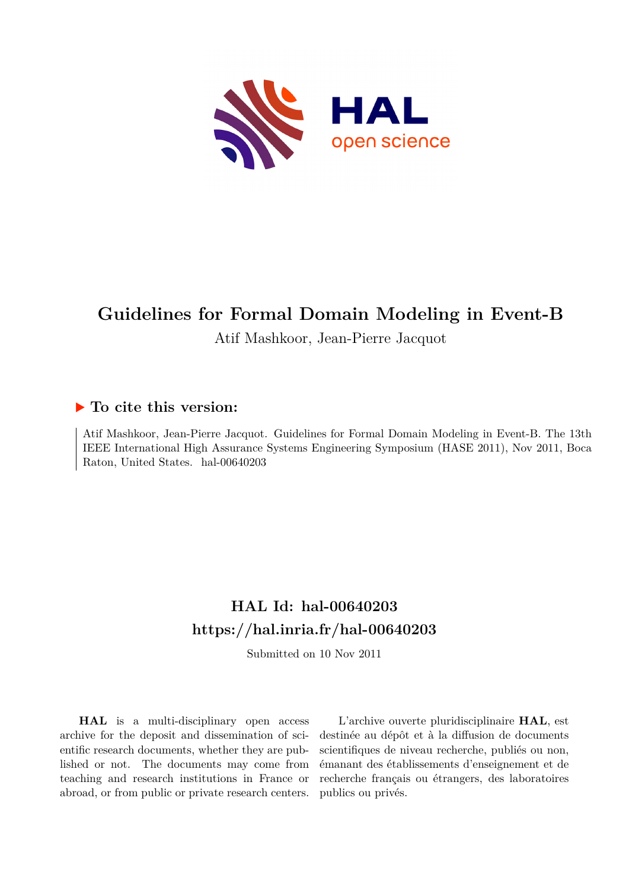

# **Guidelines for Formal Domain Modeling in Event-B**

Atif Mashkoor, Jean-Pierre Jacquot

### **To cite this version:**

Atif Mashkoor, Jean-Pierre Jacquot. Guidelines for Formal Domain Modeling in Event-B. The 13th IEEE International High Assurance Systems Engineering Symposium (HASE 2011), Nov 2011, Boca Raton, United States. hal-00640203

## **HAL Id: hal-00640203 <https://hal.inria.fr/hal-00640203>**

Submitted on 10 Nov 2011

**HAL** is a multi-disciplinary open access archive for the deposit and dissemination of scientific research documents, whether they are published or not. The documents may come from teaching and research institutions in France or abroad, or from public or private research centers.

L'archive ouverte pluridisciplinaire **HAL**, est destinée au dépôt et à la diffusion de documents scientifiques de niveau recherche, publiés ou non, émanant des établissements d'enseignement et de recherche français ou étrangers, des laboratoires publics ou privés.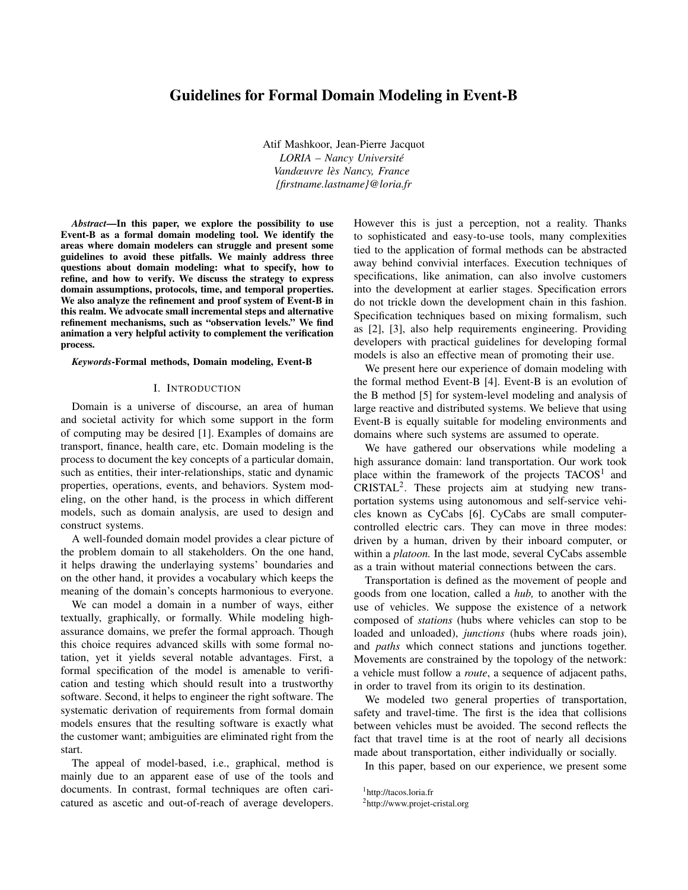### Guidelines for Formal Domain Modeling in Event-B

Atif Mashkoor, Jean-Pierre Jacquot *LORIA – Nancy Université Vandœuvre lès Nancy, France {firstname.lastname}@loria.fr*

*Abstract*—In this paper, we explore the possibility to use Event-B as a formal domain modeling tool. We identify the areas where domain modelers can struggle and present some guidelines to avoid these pitfalls. We mainly address three questions about domain modeling: what to specify, how to refine, and how to verify. We discuss the strategy to express domain assumptions, protocols, time, and temporal properties. We also analyze the refinement and proof system of Event-B in this realm. We advocate small incremental steps and alternative refinement mechanisms, such as "observation levels." We find animation a very helpful activity to complement the verification process.

#### *Keywords*-Formal methods, Domain modeling, Event-B

#### I. INTRODUCTION

Domain is a universe of discourse, an area of human and societal activity for which some support in the form of computing may be desired [1]. Examples of domains are transport, finance, health care, etc. Domain modeling is the process to document the key concepts of a particular domain, such as entities, their inter-relationships, static and dynamic properties, operations, events, and behaviors. System modeling, on the other hand, is the process in which different models, such as domain analysis, are used to design and construct systems.

A well-founded domain model provides a clear picture of the problem domain to all stakeholders. On the one hand, it helps drawing the underlaying systems' boundaries and on the other hand, it provides a vocabulary which keeps the meaning of the domain's concepts harmonious to everyone.

We can model a domain in a number of ways, either textually, graphically, or formally. While modeling highassurance domains, we prefer the formal approach. Though this choice requires advanced skills with some formal notation, yet it yields several notable advantages. First, a formal specification of the model is amenable to verification and testing which should result into a trustworthy software. Second, it helps to engineer the right software. The systematic derivation of requirements from formal domain models ensures that the resulting software is exactly what the customer want; ambiguities are eliminated right from the start.

The appeal of model-based, i.e., graphical, method is mainly due to an apparent ease of use of the tools and documents. In contrast, formal techniques are often caricatured as ascetic and out-of-reach of average developers. However this is just a perception, not a reality. Thanks to sophisticated and easy-to-use tools, many complexities tied to the application of formal methods can be abstracted away behind convivial interfaces. Execution techniques of specifications, like animation, can also involve customers into the development at earlier stages. Specification errors do not trickle down the development chain in this fashion. Specification techniques based on mixing formalism, such as [2], [3], also help requirements engineering. Providing developers with practical guidelines for developing formal models is also an effective mean of promoting their use.

We present here our experience of domain modeling with the formal method Event-B [4]. Event-B is an evolution of the B method [5] for system-level modeling and analysis of large reactive and distributed systems. We believe that using Event-B is equally suitable for modeling environments and domains where such systems are assumed to operate.

We have gathered our observations while modeling a high assurance domain: land transportation. Our work took place within the framework of the projects  $TACOS<sup>1</sup>$  and CRISTAL<sup>2</sup> . These projects aim at studying new transportation systems using autonomous and self-service vehicles known as CyCabs [6]. CyCabs are small computercontrolled electric cars. They can move in three modes: driven by a human, driven by their inboard computer, or within a *platoon.* In the last mode, several CyCabs assemble as a train without material connections between the cars.

Transportation is defined as the movement of people and goods from one location, called a *hub,* to another with the use of vehicles. We suppose the existence of a network composed of *stations* (hubs where vehicles can stop to be loaded and unloaded), *junctions* (hubs where roads join), and *paths* which connect stations and junctions together. Movements are constrained by the topology of the network: a vehicle must follow a *route*, a sequence of adjacent paths, in order to travel from its origin to its destination.

We modeled two general properties of transportation, safety and travel-time. The first is the idea that collisions between vehicles must be avoided. The second reflects the fact that travel time is at the root of nearly all decisions made about transportation, either individually or socially.

In this paper, based on our experience, we present some

<sup>1</sup>http://tacos.loria.fr

<sup>2</sup>http://www.projet-cristal.org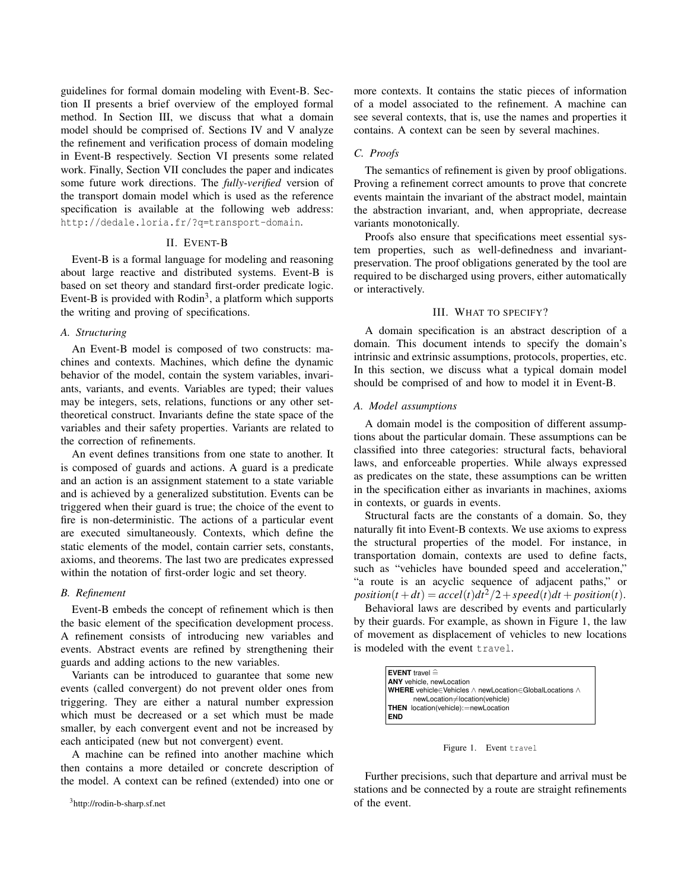guidelines for formal domain modeling with Event-B. Section II presents a brief overview of the employed formal method. In Section III, we discuss that what a domain model should be comprised of. Sections IV and V analyze the refinement and verification process of domain modeling in Event-B respectively. Section VI presents some related work. Finally, Section VII concludes the paper and indicates some future work directions. The *fully-verified* version of the transport domain model which is used as the reference specification is available at the following web address: http://dedale.loria.fr/?q=transport-domain.

#### II. EVENT-B

Event-B is a formal language for modeling and reasoning about large reactive and distributed systems. Event-B is based on set theory and standard first-order predicate logic. Event-B is provided with Rodin<sup>3</sup>, a platform which supports the writing and proving of specifications.

#### *A. Structuring*

An Event-B model is composed of two constructs: machines and contexts. Machines, which define the dynamic behavior of the model, contain the system variables, invariants, variants, and events. Variables are typed; their values may be integers, sets, relations, functions or any other settheoretical construct. Invariants define the state space of the variables and their safety properties. Variants are related to the correction of refinements.

An event defines transitions from one state to another. It is composed of guards and actions. A guard is a predicate and an action is an assignment statement to a state variable and is achieved by a generalized substitution. Events can be triggered when their guard is true; the choice of the event to fire is non-deterministic. The actions of a particular event are executed simultaneously. Contexts, which define the static elements of the model, contain carrier sets, constants, axioms, and theorems. The last two are predicates expressed within the notation of first-order logic and set theory.

#### *B. Refinement*

Event-B embeds the concept of refinement which is then the basic element of the specification development process. A refinement consists of introducing new variables and events. Abstract events are refined by strengthening their guards and adding actions to the new variables.

Variants can be introduced to guarantee that some new events (called convergent) do not prevent older ones from triggering. They are either a natural number expression which must be decreased or a set which must be made smaller, by each convergent event and not be increased by each anticipated (new but not convergent) event.

A machine can be refined into another machine which then contains a more detailed or concrete description of the model. A context can be refined (extended) into one or more contexts. It contains the static pieces of information of a model associated to the refinement. A machine can see several contexts, that is, use the names and properties it contains. A context can be seen by several machines.

#### *C. Proofs*

The semantics of refinement is given by proof obligations. Proving a refinement correct amounts to prove that concrete events maintain the invariant of the abstract model, maintain the abstraction invariant, and, when appropriate, decrease variants monotonically.

Proofs also ensure that specifications meet essential system properties, such as well-definedness and invariantpreservation. The proof obligations generated by the tool are required to be discharged using provers, either automatically or interactively.

#### III. WHAT TO SPECIFY?

A domain specification is an abstract description of a domain. This document intends to specify the domain's intrinsic and extrinsic assumptions, protocols, properties, etc. In this section, we discuss what a typical domain model should be comprised of and how to model it in Event-B.

#### *A. Model assumptions*

A domain model is the composition of different assumptions about the particular domain. These assumptions can be classified into three categories: structural facts, behavioral laws, and enforceable properties. While always expressed as predicates on the state, these assumptions can be written in the specification either as invariants in machines, axioms in contexts, or guards in events.

Structural facts are the constants of a domain. So, they naturally fit into Event-B contexts. We use axioms to express the structural properties of the model. For instance, in transportation domain, contexts are used to define facts, such as "vehicles have bounded speed and acceleration," "a route is an acyclic sequence of adjacent paths," or  $position(t + dt) = accel(t)dt^2/2 + speed(t)dt + position(t).$ 

Behavioral laws are described by events and particularly by their guards. For example, as shown in Figure 1, the law of movement as displacement of vehicles to new locations is modeled with the event travel.



Figure 1. Event travel

Further precisions, such that departure and arrival must be stations and be connected by a route are straight refinements of the event.

<sup>3</sup>http://rodin-b-sharp.sf.net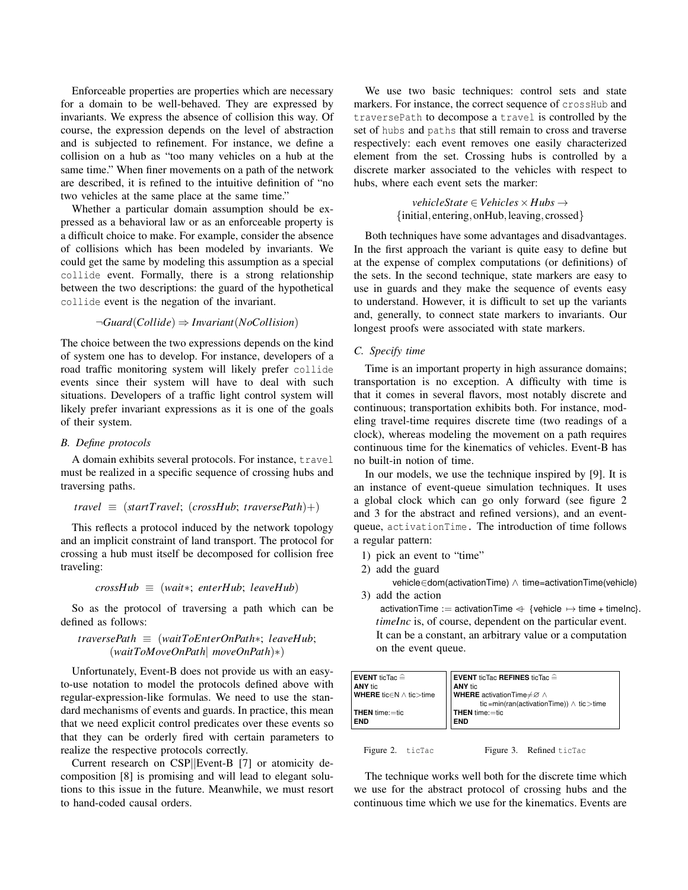Enforceable properties are properties which are necessary for a domain to be well-behaved. They are expressed by invariants. We express the absence of collision this way. Of course, the expression depends on the level of abstraction and is subjected to refinement. For instance, we define a collision on a hub as "too many vehicles on a hub at the same time." When finer movements on a path of the network are described, it is refined to the intuitive definition of "no two vehicles at the same place at the same time."

Whether a particular domain assumption should be expressed as a behavioral law or as an enforceable property is a difficult choice to make. For example, consider the absence of collisions which has been modeled by invariants. We could get the same by modeling this assumption as a special collide event. Formally, there is a strong relationship between the two descriptions: the guard of the hypothetical collide event is the negation of the invariant.

$$
\neg Guard(Collide) \Rightarrow Invariant(NoCollision)
$$

The choice between the two expressions depends on the kind of system one has to develop. For instance, developers of a road traffic monitoring system will likely prefer collide events since their system will have to deal with such situations. Developers of a traffic light control system will likely prefer invariant expressions as it is one of the goals of their system.

#### *B. Define protocols*

A domain exhibits several protocols. For instance, travel must be realized in a specific sequence of crossing hubs and traversing paths.

$$
travel \equiv (start Travel; (crossHub; traversePath) + )
$$

This reflects a protocol induced by the network topology and an implicit constraint of land transport. The protocol for crossing a hub must itself be decomposed for collision free traveling:

$$
crossHub \equiv (wait*; enterHub; leaveHub)
$$

So as the protocol of traversing a path which can be defined as follows:

$$
traversePath \equiv (waitToEnterOnPath*; leaveHub; \newline (waitToMoveOnPath | moveOnPath)*)
$$

Unfortunately, Event-B does not provide us with an easyto-use notation to model the protocols defined above with regular-expression-like formulas. We need to use the standard mechanisms of events and guards. In practice, this mean that we need explicit control predicates over these events so that they can be orderly fired with certain parameters to realize the respective protocols correctly.

Current research on CSP||Event-B [7] or atomicity decomposition [8] is promising and will lead to elegant solutions to this issue in the future. Meanwhile, we must resort to hand-coded causal orders.

We use two basic techniques: control sets and state markers. For instance, the correct sequence of crossHub and traversePath to decompose a travel is controlled by the set of hubs and paths that still remain to cross and traverse respectively: each event removes one easily characterized element from the set. Crossing hubs is controlled by a discrete marker associated to the vehicles with respect to hubs, where each event sets the marker:

$$
vehicle State \in Vehicles \times Hubs \rightarrow \{initial, entering, onHub, leaving, crossed\}
$$

Both techniques have some advantages and disadvantages. In the first approach the variant is quite easy to define but at the expense of complex computations (or definitions) of the sets. In the second technique, state markers are easy to use in guards and they make the sequence of events easy to understand. However, it is difficult to set up the variants and, generally, to connect state markers to invariants. Our longest proofs were associated with state markers.

#### *C. Specify time*

Time is an important property in high assurance domains; transportation is no exception. A difficulty with time is that it comes in several flavors, most notably discrete and continuous; transportation exhibits both. For instance, modeling travel-time requires discrete time (two readings of a clock), whereas modeling the movement on a path requires continuous time for the kinematics of vehicles. Event-B has no built-in notion of time.

In our models, we use the technique inspired by [9]. It is an instance of event-queue simulation techniques. It uses a global clock which can go only forward (see figure 2 and 3 for the abstract and refined versions), and an eventqueue, activationTime. The introduction of time follows a regular pattern:

- 1) pick an event to "time"
- 2) add the guard

vehicle∈dom(activationTime) ∧ time=activationTime(vehicle) 3) add the action

activationTime := activationTime  $\Leftarrow$  {vehicle  $\mapsto$  time + timeInc}. *timeInc* is, of course, dependent on the particular event. It can be a constant, an arbitrary value or a computation on the event queue.

| <b>EVENT</b> ticTac $\widehat{=}$           | <b>EVENT</b> ticTac REFINES ticTac $\widehat{=}$    |
|---------------------------------------------|-----------------------------------------------------|
| <b>ANY</b> tic                              | <b>ANY</b> tic                                      |
| $ $ WHERE tic $\in$ N $\wedge$ tic $>$ time | <b>WHERE</b> activation Time $\neq \emptyset \land$ |
|                                             | tic = min(ran(activation Time)) $\wedge$ tic > time |
| THEN time:=tic                              | <b>THEN</b> time:=tic                               |
| <b>END</b>                                  | <b>END</b>                                          |
|                                             |                                                     |

Figure 2. ticTac Figure 3. Refined ticTac

The technique works well both for the discrete time which we use for the abstract protocol of crossing hubs and the continuous time which we use for the kinematics. Events are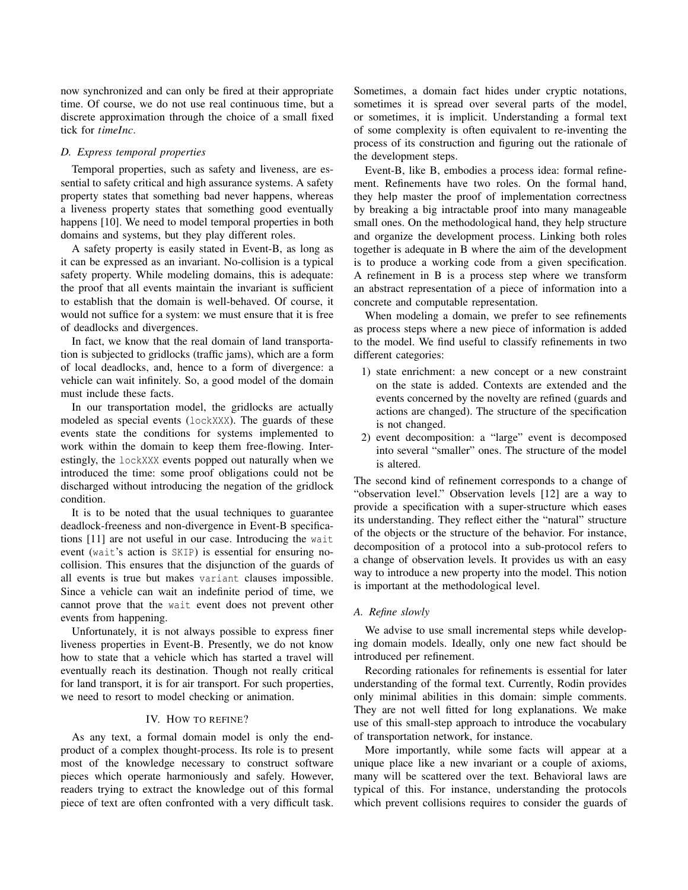now synchronized and can only be fired at their appropriate time. Of course, we do not use real continuous time, but a discrete approximation through the choice of a small fixed tick for *timeInc*.

#### *D. Express temporal properties*

Temporal properties, such as safety and liveness, are essential to safety critical and high assurance systems. A safety property states that something bad never happens, whereas a liveness property states that something good eventually happens [10]. We need to model temporal properties in both domains and systems, but they play different roles.

A safety property is easily stated in Event-B, as long as it can be expressed as an invariant. No-collision is a typical safety property. While modeling domains, this is adequate: the proof that all events maintain the invariant is sufficient to establish that the domain is well-behaved. Of course, it would not suffice for a system: we must ensure that it is free of deadlocks and divergences.

In fact, we know that the real domain of land transportation is subjected to gridlocks (traffic jams), which are a form of local deadlocks, and, hence to a form of divergence: a vehicle can wait infinitely. So, a good model of the domain must include these facts.

In our transportation model, the gridlocks are actually modeled as special events (lockXXX). The guards of these events state the conditions for systems implemented to work within the domain to keep them free-flowing. Interestingly, the lockXXX events popped out naturally when we introduced the time: some proof obligations could not be discharged without introducing the negation of the gridlock condition.

It is to be noted that the usual techniques to guarantee deadlock-freeness and non-divergence in Event-B specifications [11] are not useful in our case. Introducing the wait event (wait's action is SKIP) is essential for ensuring nocollision. This ensures that the disjunction of the guards of all events is true but makes variant clauses impossible. Since a vehicle can wait an indefinite period of time, we cannot prove that the wait event does not prevent other events from happening.

Unfortunately, it is not always possible to express finer liveness properties in Event-B. Presently, we do not know how to state that a vehicle which has started a travel will eventually reach its destination. Though not really critical for land transport, it is for air transport. For such properties, we need to resort to model checking or animation.

#### IV. HOW TO REFINE?

As any text, a formal domain model is only the endproduct of a complex thought-process. Its role is to present most of the knowledge necessary to construct software pieces which operate harmoniously and safely. However, readers trying to extract the knowledge out of this formal piece of text are often confronted with a very difficult task. Sometimes, a domain fact hides under cryptic notations, sometimes it is spread over several parts of the model, or sometimes, it is implicit. Understanding a formal text of some complexity is often equivalent to re-inventing the process of its construction and figuring out the rationale of the development steps.

Event-B, like B, embodies a process idea: formal refinement. Refinements have two roles. On the formal hand, they help master the proof of implementation correctness by breaking a big intractable proof into many manageable small ones. On the methodological hand, they help structure and organize the development process. Linking both roles together is adequate in B where the aim of the development is to produce a working code from a given specification. A refinement in B is a process step where we transform an abstract representation of a piece of information into a concrete and computable representation.

When modeling a domain, we prefer to see refinements as process steps where a new piece of information is added to the model. We find useful to classify refinements in two different categories:

- 1) state enrichment: a new concept or a new constraint on the state is added. Contexts are extended and the events concerned by the novelty are refined (guards and actions are changed). The structure of the specification is not changed.
- 2) event decomposition: a "large" event is decomposed into several "smaller" ones. The structure of the model is altered.

The second kind of refinement corresponds to a change of "observation level." Observation levels [12] are a way to provide a specification with a super-structure which eases its understanding. They reflect either the "natural" structure of the objects or the structure of the behavior. For instance, decomposition of a protocol into a sub-protocol refers to a change of observation levels. It provides us with an easy way to introduce a new property into the model. This notion is important at the methodological level.

#### *A. Refine slowly*

We advise to use small incremental steps while developing domain models. Ideally, only one new fact should be introduced per refinement.

Recording rationales for refinements is essential for later understanding of the formal text. Currently, Rodin provides only minimal abilities in this domain: simple comments. They are not well fitted for long explanations. We make use of this small-step approach to introduce the vocabulary of transportation network, for instance.

More importantly, while some facts will appear at a unique place like a new invariant or a couple of axioms, many will be scattered over the text. Behavioral laws are typical of this. For instance, understanding the protocols which prevent collisions requires to consider the guards of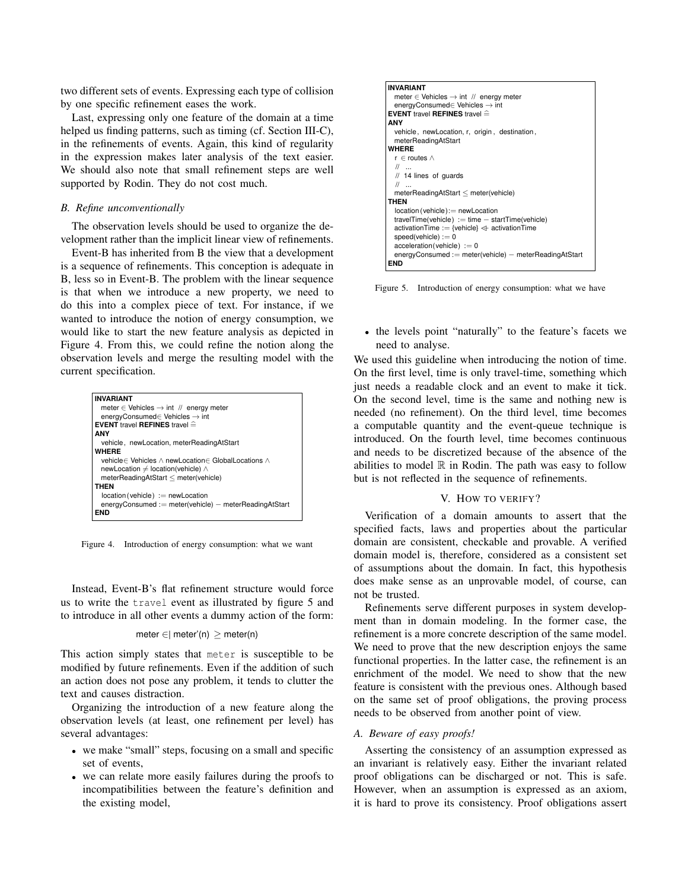two different sets of events. Expressing each type of collision by one specific refinement eases the work.

Last, expressing only one feature of the domain at a time helped us finding patterns, such as timing (cf. Section III-C), in the refinements of events. Again, this kind of regularity in the expression makes later analysis of the text easier. We should also note that small refinement steps are well supported by Rodin. They do not cost much.

#### *B. Refine unconventionally*

The observation levels should be used to organize the development rather than the implicit linear view of refinements.

Event-B has inherited from B the view that a development is a sequence of refinements. This conception is adequate in B, less so in Event-B. The problem with the linear sequence is that when we introduce a new property, we need to do this into a complex piece of text. For instance, if we wanted to introduce the notion of energy consumption, we would like to start the new feature analysis as depicted in Figure 4. From this, we could refine the notion along the observation levels and merge the resulting model with the current specification.



Figure 4. Introduction of energy consumption: what we want

Instead, Event-B's flat refinement structure would force us to write the travel event as illustrated by figure 5 and to introduce in all other events a dummy action of the form:

#### meter  $\in$ | meter'(n)  $\geq$  meter(n)

This action simply states that meter is susceptible to be modified by future refinements. Even if the addition of such an action does not pose any problem, it tends to clutter the text and causes distraction.

Organizing the introduction of a new feature along the observation levels (at least, one refinement per level) has several advantages:

- we make "small" steps, focusing on a small and specific set of events,
- we can relate more easily failures during the proofs to incompatibilities between the feature's definition and the existing model,



Figure 5. Introduction of energy consumption: what we have

• the levels point "naturally" to the feature's facets we need to analyse.

We used this guideline when introducing the notion of time. On the first level, time is only travel-time, something which just needs a readable clock and an event to make it tick. On the second level, time is the same and nothing new is needed (no refinement). On the third level, time becomes a computable quantity and the event-queue technique is introduced. On the fourth level, time becomes continuous and needs to be discretized because of the absence of the abilities to model  $\mathbb R$  in Rodin. The path was easy to follow but is not reflected in the sequence of refinements.

#### V. HOW TO VERIFY?

Verification of a domain amounts to assert that the specified facts, laws and properties about the particular domain are consistent, checkable and provable. A verified domain model is, therefore, considered as a consistent set of assumptions about the domain. In fact, this hypothesis does make sense as an unprovable model, of course, can not be trusted.

Refinements serve different purposes in system development than in domain modeling. In the former case, the refinement is a more concrete description of the same model. We need to prove that the new description enjoys the same functional properties. In the latter case, the refinement is an enrichment of the model. We need to show that the new feature is consistent with the previous ones. Although based on the same set of proof obligations, the proving process needs to be observed from another point of view.

#### *A. Beware of easy proofs!*

Asserting the consistency of an assumption expressed as an invariant is relatively easy. Either the invariant related proof obligations can be discharged or not. This is safe. However, when an assumption is expressed as an axiom, it is hard to prove its consistency. Proof obligations assert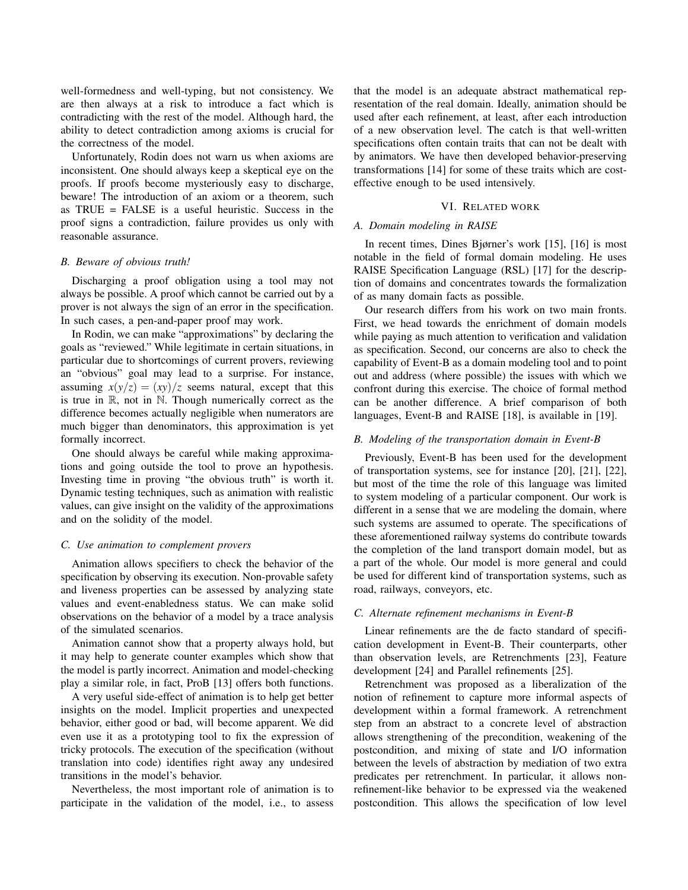well-formedness and well-typing, but not consistency. We are then always at a risk to introduce a fact which is contradicting with the rest of the model. Although hard, the ability to detect contradiction among axioms is crucial for the correctness of the model.

Unfortunately, Rodin does not warn us when axioms are inconsistent. One should always keep a skeptical eye on the proofs. If proofs become mysteriously easy to discharge, beware! The introduction of an axiom or a theorem, such as TRUE = FALSE is a useful heuristic. Success in the proof signs a contradiction, failure provides us only with reasonable assurance.

#### *B. Beware of obvious truth!*

Discharging a proof obligation using a tool may not always be possible. A proof which cannot be carried out by a prover is not always the sign of an error in the specification. In such cases, a pen-and-paper proof may work.

In Rodin, we can make "approximations" by declaring the goals as "reviewed." While legitimate in certain situations, in particular due to shortcomings of current provers, reviewing an "obvious" goal may lead to a surprise. For instance, assuming  $x(y/z) = (xy)/z$  seems natural, except that this is true in  $\mathbb R$ , not in  $\mathbb N$ . Though numerically correct as the difference becomes actually negligible when numerators are much bigger than denominators, this approximation is yet formally incorrect.

One should always be careful while making approximations and going outside the tool to prove an hypothesis. Investing time in proving "the obvious truth" is worth it. Dynamic testing techniques, such as animation with realistic values, can give insight on the validity of the approximations and on the solidity of the model.

#### *C. Use animation to complement provers*

Animation allows specifiers to check the behavior of the specification by observing its execution. Non-provable safety and liveness properties can be assessed by analyzing state values and event-enabledness status. We can make solid observations on the behavior of a model by a trace analysis of the simulated scenarios.

Animation cannot show that a property always hold, but it may help to generate counter examples which show that the model is partly incorrect. Animation and model-checking play a similar role, in fact, ProB [13] offers both functions.

A very useful side-effect of animation is to help get better insights on the model. Implicit properties and unexpected behavior, either good or bad, will become apparent. We did even use it as a prototyping tool to fix the expression of tricky protocols. The execution of the specification (without translation into code) identifies right away any undesired transitions in the model's behavior.

Nevertheless, the most important role of animation is to participate in the validation of the model, i.e., to assess that the model is an adequate abstract mathematical representation of the real domain. Ideally, animation should be used after each refinement, at least, after each introduction of a new observation level. The catch is that well-written specifications often contain traits that can not be dealt with by animators. We have then developed behavior-preserving transformations [14] for some of these traits which are costeffective enough to be used intensively.

#### VI. RELATED WORK

#### *A. Domain modeling in RAISE*

In recent times, Dines Bjørner's work [15], [16] is most notable in the field of formal domain modeling. He uses RAISE Specification Language (RSL) [17] for the description of domains and concentrates towards the formalization of as many domain facts as possible.

Our research differs from his work on two main fronts. First, we head towards the enrichment of domain models while paying as much attention to verification and validation as specification. Second, our concerns are also to check the capability of Event-B as a domain modeling tool and to point out and address (where possible) the issues with which we confront during this exercise. The choice of formal method can be another difference. A brief comparison of both languages, Event-B and RAISE [18], is available in [19].

#### *B. Modeling of the transportation domain in Event-B*

Previously, Event-B has been used for the development of transportation systems, see for instance [20], [21], [22], but most of the time the role of this language was limited to system modeling of a particular component. Our work is different in a sense that we are modeling the domain, where such systems are assumed to operate. The specifications of these aforementioned railway systems do contribute towards the completion of the land transport domain model, but as a part of the whole. Our model is more general and could be used for different kind of transportation systems, such as road, railways, conveyors, etc.

#### *C. Alternate refinement mechanisms in Event-B*

Linear refinements are the de facto standard of specification development in Event-B. Their counterparts, other than observation levels, are Retrenchments [23], Feature development [24] and Parallel refinements [25].

Retrenchment was proposed as a liberalization of the notion of refinement to capture more informal aspects of development within a formal framework. A retrenchment step from an abstract to a concrete level of abstraction allows strengthening of the precondition, weakening of the postcondition, and mixing of state and I/O information between the levels of abstraction by mediation of two extra predicates per retrenchment. In particular, it allows nonrefinement-like behavior to be expressed via the weakened postcondition. This allows the specification of low level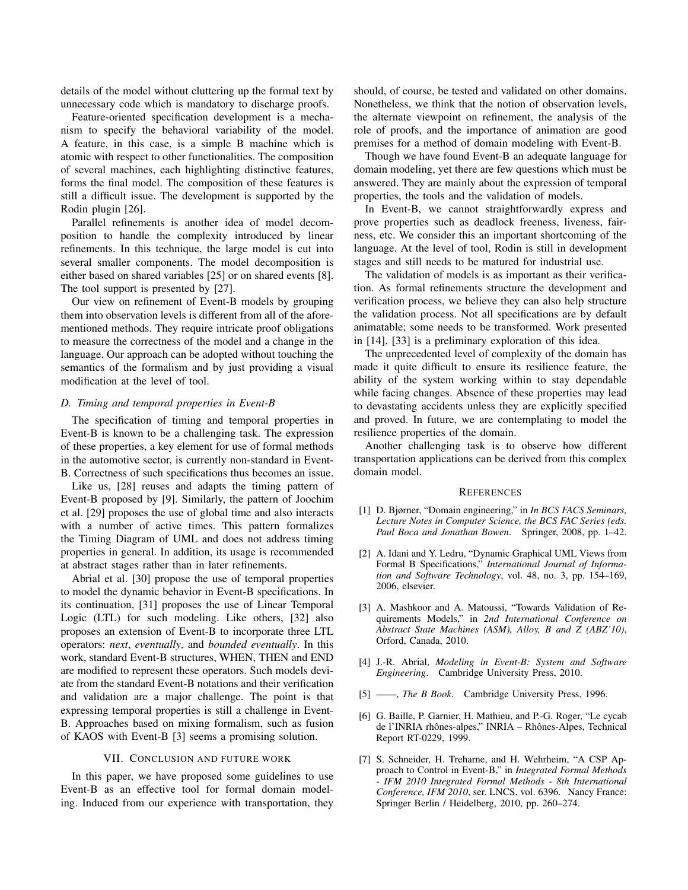details of the model without cluttering up the formal text by unnecessary code which is mandatory to discharge proofs.

Feature-oriented specification development is a mechanism to specify the behavioral variability of the model. A feature, in this case, is a simple B machine which is atomic with respect to other functionalities. The composition of several machines, each highlighting distinctive features, forms the final model. The composition of these features is still a difficult issue. The development is supported by the Rodin plugin [26].

Parallel refinements is another idea of model decomposition to handle the complexity introduced by linear refinements. In this technique, the large model is cut into several smaller components. The model decomposition is either based on shared variables [25] or on shared events [8]. The tool support is presented by [27].

Our view on refinement of Event-B models by grouping them into observation levels is different from all of the aforementioned methods. They require intricate proof obligations to measure the correctness of the model and a change in the language. Our approach can be adopted without touching the semantics of the formalism and by just providing a visual modification at the level of tool.

#### *D. Timing and temporal properties in Event-B*

The specification of timing and temporal properties in Event-B is known to be a challenging task. The expression of these properties, a key element for use of formal methods in the automotive sector, is currently non-standard in Event-B. Correctness of such specifications thus becomes an issue.

Like us, [28] reuses and adapts the timing pattern of Event-B proposed by [9]. Similarly, the pattern of Joochim et al. [29] proposes the use of global time and also interacts with a number of active times. This pattern formalizes the Timing Diagram of UML and does not address timing properties in general. In addition, its usage is recommended at abstract stages rather than in later refinements.

Abrial et al. [30] propose the use of temporal properties to model the dynamic behavior in Event-B specifications. In its continuation, [31] proposes the use of Linear Temporal Logic (LTL) for such modeling. Like others, [32] also proposes an extension of Event-B to incorporate three LTL operators: *next*, *eventually*, and *bounded eventually*. In this work, standard Event-B structures, WHEN, THEN and END are modified to represent these operators. Such models deviate from the standard Event-B notations and their verification and validation are a major challenge. The point is that expressing temporal properties is still a challenge in Event-B. Approaches based on mixing formalism, such as fusion of KAOS with Event-B [3] seems a promising solution.

#### VII. CONCLUSION AND FUTURE WORK

In this paper, we have proposed some guidelines to use Event-B as an effective tool for formal domain modeling. Induced from our experience with transportation, they should, of course, be tested and validated on other domains. Nonetheless, we think that the notion of observation levels, the alternate viewpoint on refinement, the analysis of the role of proofs, and the importance of animation are good premises for a method of domain modeling with Event-B.

Though we have found Event-B an adequate language for domain modeling, yet there are few questions which must be answered. They are mainly about the expression of temporal properties, the tools and the validation of models.

In Event-B, we cannot straightforwardly express and prove properties such as deadlock freeness, liveness, fairness, etc. We consider this an important shortcoming of the language. At the level of tool, Rodin is still in development stages and still needs to be matured for industrial use.

The validation of models is as important as their verification. As formal refinements structure the development and verification process, we believe they can also help structure the validation process. Not all specifications are by default animatable; some needs to be transformed. Work presented in [14], [33] is a preliminary exploration of this idea.

The unprecedented level of complexity of the domain has made it quite difficult to ensure its resilience feature, the ability of the system working within to stay dependable while facing changes. Absence of these properties may lead to devastating accidents unless they are explicitly specified and proved. In future, we are contemplating to model the resilience properties of the domain.

Another challenging task is to observe how different transportation applications can be derived from this complex domain model.

#### **REFERENCES**

- [1] D. Bjørner, "Domain engineering," in *In BCS FACS Seminars, Lecture Notes in Computer Science, the BCS FAC Series (eds. Paul Boca and Jonathan Bowen*. Springer, 2008, pp. 1–42.
- [2] A. Idani and Y. Ledru, "Dynamic Graphical UML Views from Formal B Specifications," *International Journal of Information and Software Technology*, vol. 48, no. 3, pp. 154–169, 2006, elsevier.
- [3] A. Mashkoor and A. Matoussi, "Towards Validation of Requirements Models," in *2nd International Conference on Abstract State Machines (ASM), Alloy, B and Z (ABZ'10)*, Orford, Canada, 2010.
- [4] J.-R. Abrial, *Modeling in Event-B: System and Software Engineering*. Cambridge University Press, 2010.
- [5] ——, *The B Book*. Cambridge University Press, 1996.
- [6] G. Baille, P. Garnier, H. Mathieu, and P.-G. Roger, "Le cycab de l'INRIA rhônes-alpes," INRIA – Rhônes-Alpes, Technical Report RT-0229, 1999.
- [7] S. Schneider, H. Treharne, and H. Wehrheim, "A CSP Approach to Control in Event-B," in *Integrated Formal Methods - IFM 2010 Integrated Formal Methods - 8th International Conference, IFM 2010*, ser. LNCS, vol. 6396. Nancy France: Springer Berlin / Heidelberg, 2010, pp. 260–274.